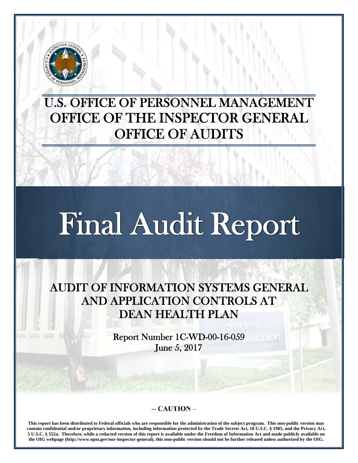

## U.S. OFFICE OF PERSONNEL MANAGEMENT OFFICE OF THE INSPECTOR GENERAL OFFICE OF AUDITS

# Final Audit Report

AUDIT OF INFORMATION SYSTEMS GENERAL AND APPLICATION CONTROLS AT DEAN HEALTH PLAN

> Report Number 1C-WD-00-16-059 June 5, 2017

#### **-- CAUTION –**

**This report has been distributed to Federal officials who are responsible for the administration of the subject program. This non-public version may contain confidential and/or proprietary information, including information protected by the Trade Secrets Act, 18 U.S.C. § 1905, and the Privacy Act, 5 U.S.C. § 552a. Therefore, while a redacted version of this report is available under the Freedom of Information Act and made publicly available on the OIG webpage (http://www.opm.gov/our-inspector-general), this non-public version should not be further released unless authorized by the OIG.**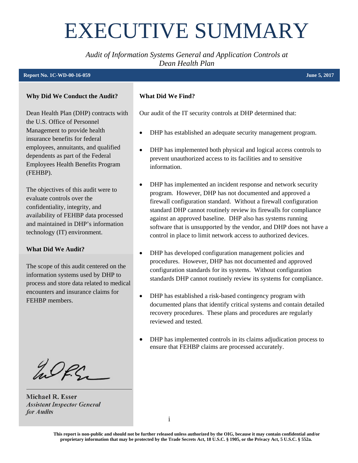## <span id="page-1-0"></span>EXECUTIVE SUMMARY

*Audit of Information Systems General and Application Controls at Dean Health Plan* 

#### **Report No. 1C-WD-00-16-059**

#### **Why Did We Conduct the Audit?**

Dean Health Plan (DHP) contracts with the U.S. Office of Personnel Management to provide health insurance benefits for federal employees, annuitants, and qualified dependents as part of the Federal Employees Health Benefits Program (FEHBP).

The objectives of this audit were to evaluate controls over the confidentiality, integrity, and availability of FEHBP data processed and maintained in DHP's information technology (IT) environment.

#### **What Did We Audit?**

The scope of this audit centered on the information systems used by DHP to process and store data related to medical encounters and insurance claims for FEHBP members.

WPS \_\_\_\_\_\_\_\_\_\_\_\_\_\_\_\_\_\_\_\_\_\_\_\_\_

**Michael R. Esser**  *Assistant Inspector General for Audits* 

#### **What Did We Find?**

Our audit of the IT security controls at DHP determined that:

- DHP has established an adequate security management program.
- DHP has implemented both physical and logical access controls to prevent unauthorized access to its facilities and to sensitive information.
- DHP has implemented an incident response and network security program. However, DHP has not documented and approved a firewall configuration standard. Without a firewall configuration standard DHP cannot routinely review its firewalls for compliance against an approved baseline. DHP also has systems running software that is unsupported by the vendor, and DHP does not have a control in place to limit network access to authorized devices.
- DHP has developed configuration management policies and procedures. However, DHP has not documented and approved configuration standards for its systems. Without configuration standards DHP cannot routinely review its systems for compliance.
- DHP has established a risk-based contingency program with documented plans that identify critical systems and contain detailed recovery procedures. These plans and procedures are regularly reviewed and tested.
- DHP has implemented controls in its claims adjudication process to ensure that FEHBP claims are processed accurately.

**This report is non-public and should not be further released unless authorized by the OIG, because it may contain confidential and/or proprietary information that may be protected by the Trade Secrets Act, 18 U.S.C. § 1905, or the Privacy Act, 5 U.S.C. § 552a.**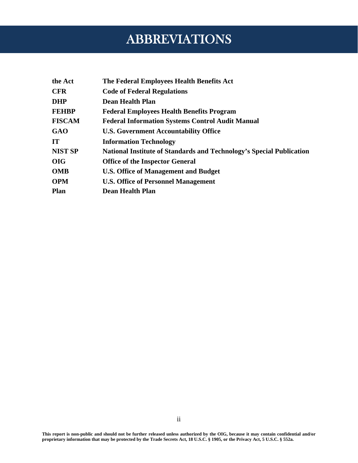## ABBREVIATIONS

<span id="page-2-0"></span>

| the Act       | The Federal Employees Health Benefits Act                                   |
|---------------|-----------------------------------------------------------------------------|
| <b>CFR</b>    | <b>Code of Federal Regulations</b>                                          |
| DHP           | <b>Dean Health Plan</b>                                                     |
| FEHBP         | <b>Federal Employees Health Benefits Program</b>                            |
| <b>FISCAM</b> | <b>Federal Information Systems Control Audit Manual</b>                     |
| GAO           | <b>U.S. Government Accountability Office</b>                                |
| IT            | <b>Information Technology</b>                                               |
| NIST SP       | <b>National Institute of Standards and Technology's Special Publication</b> |
| OIG           | <b>Office of the Inspector General</b>                                      |
| OMB           | U.S. Office of Management and Budget                                        |
| <b>OPM</b>    | <b>U.S. Office of Personnel Management</b>                                  |
| Plan          | <b>Dean Health Plan</b>                                                     |
|               |                                                                             |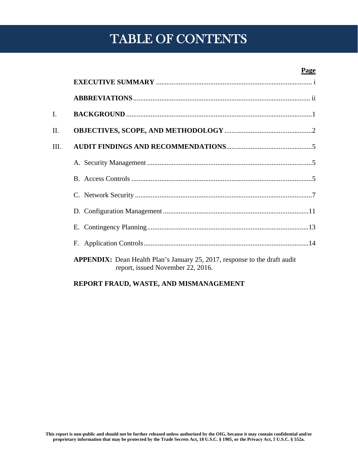## IV. MAJOR CONTRIBUTORS IN THE TRIBUE OF CONTENTS IN THE REPORT OF  $\mathbb{C}[X]$

#### **Page**

| II.  |                                                                                                                        |
|------|------------------------------------------------------------------------------------------------------------------------|
| III. |                                                                                                                        |
|      |                                                                                                                        |
|      |                                                                                                                        |
|      |                                                                                                                        |
|      |                                                                                                                        |
|      |                                                                                                                        |
|      |                                                                                                                        |
|      | <b>APPENDIX:</b> Dean Health Plan's January 25, 2017, response to the draft audit<br>report, issued November 22, 2016. |
|      |                                                                                                                        |

#### **REPORT FRAUD, WASTE, AND MISMANAGEMENT**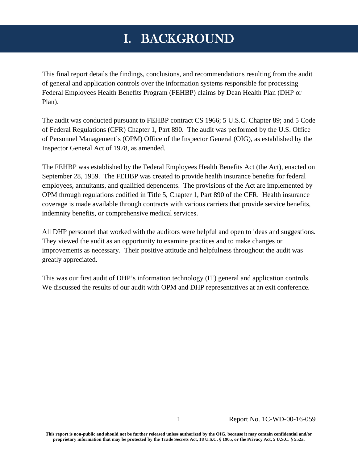## I. BACKGROUND

<span id="page-4-0"></span>This final report details the findings, conclusions, and recommendations resulting from the audit of general and application controls over the information systems responsible for processing Federal Employees Health Benefits Program (FEHBP) claims by Dean Health Plan (DHP or Plan).

The audit was conducted pursuant to FEHBP contract CS 1966; 5 U.S.C. Chapter 89; and 5 Code of Federal Regulations (CFR) Chapter 1, Part 890. The audit was performed by the U.S. Office of Personnel Management's (OPM) Office of the Inspector General (OIG), as established by the Inspector General Act of 1978, as amended.

The FEHBP was established by the Federal Employees Health Benefits Act (the Act), enacted on September 28, 1959. The FEHBP was created to provide health insurance benefits for federal employees, annuitants, and qualified dependents. The provisions of the Act are implemented by OPM through regulations codified in Title 5, Chapter 1, Part 890 of the CFR. Health insurance coverage is made available through contracts with various carriers that provide service benefits, indemnity benefits, or comprehensive medical services.

All DHP personnel that worked with the auditors were helpful and open to ideas and suggestions. They viewed the audit as an opportunity to examine practices and to make changes or improvements as necessary. Their positive attitude and helpfulness throughout the audit was greatly appreciated.

This was our first audit of DHP's information technology (IT) general and application controls. We discussed the results of our audit with OPM and DHP representatives at an exit conference.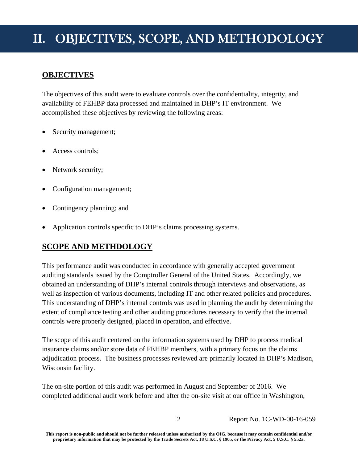## <span id="page-5-0"></span>II. OBJECTIVES, SCOPE, AND METHODOLOGY

#### **OBJECTIVES**

The objectives of this audit were to evaluate controls over the confidentiality, integrity, and availability of FEHBP data processed and maintained in DHP's IT environment. We accomplished these objectives by reviewing the following areas:

- Security management;
- Access controls;
- Network security;
- Configuration management;
- Contingency planning; and
- Application controls specific to DHP's claims processing systems.

#### **SCOPE AND METHDOLOGY**

This performance audit was conducted in accordance with generally accepted government auditing standards issued by the Comptroller General of the United States. Accordingly, we obtained an understanding of DHP's internal controls through interviews and observations, as well as inspection of various documents, including IT and other related policies and procedures. This understanding of DHP's internal controls was used in planning the audit by determining the extent of compliance testing and other auditing procedures necessary to verify that the internal controls were properly designed, placed in operation, and effective.

The scope of this audit centered on the information systems used by DHP to process medical insurance claims and/or store data of FEHBP members, with a primary focus on the claims adjudication process. The business processes reviewed are primarily located in DHP's Madison, Wisconsin facility.

The on-site portion of this audit was performed in August and September of 2016. We completed additional audit work before and after the on-site visit at our office in Washington,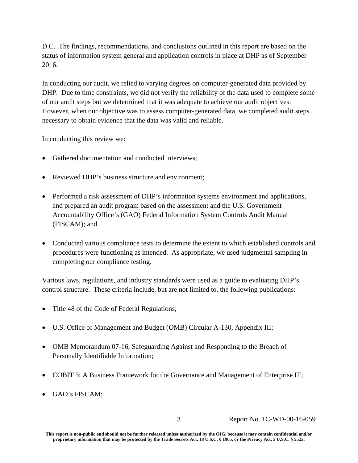D.C. The findings, recommendations, and conclusions outlined in this report are based on the status of information system general and application controls in place at DHP as of September 2016.

In conducting our audit, we relied to varying degrees on computer-generated data provided by DHP. Due to time constraints, we did not verify the reliability of the data used to complete some of our audit steps but we determined that it was adequate to achieve our audit objectives. However, when our objective was to assess computer-generated data, we completed audit steps necessary to obtain evidence that the data was valid and reliable.

In conducting this review we:

- Gathered documentation and conducted interviews;
- Reviewed DHP's business structure and environment;
- Performed a risk assessment of DHP's information systems environment and applications, and prepared an audit program based on the assessment and the U.S. Government Accountability Office's (GAO) Federal Information System Controls Audit Manual (FISCAM); and
- Conducted various compliance tests to determine the extent to which established controls and procedures were functioning as intended. As appropriate, we used judgmental sampling in completing our compliance testing.

Various laws, regulations, and industry standards were used as a guide to evaluating DHP's control structure. These criteria include, but are not limited to, the following publications:

- Title 48 of the Code of Federal Regulations;
- U.S. Office of Management and Budget (OMB) Circular A-130, Appendix III;
- OMB Memorandum 07-16, Safeguarding Against and Responding to the Breach of Personally Identifiable Information;
- COBIT 5: A Business Framework for the Governance and Management of Enterprise IT;
- GAO's FISCAM;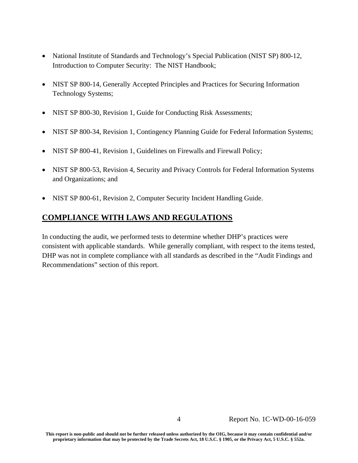- National Institute of Standards and Technology's Special Publication (NIST SP) 800-12, Introduction to Computer Security: The NIST Handbook;
- NIST SP 800-14, Generally Accepted Principles and Practices for Securing Information Technology Systems;
- NIST SP 800-30, Revision 1, Guide for Conducting Risk Assessments;
- NIST SP 800-34, Revision 1, Contingency Planning Guide for Federal Information Systems;
- NIST SP 800-41, Revision 1, Guidelines on Firewalls and Firewall Policy;
- NIST SP 800-53, Revision 4, Security and Privacy Controls for Federal Information Systems and Organizations; and
- NIST SP 800-61, Revision 2, Computer Security Incident Handling Guide.

#### **COMPLIANCE WITH LAWS AND REGULATIONS**

In conducting the audit, we performed tests to determine whether DHP's practices were consistent with applicable standards. While generally compliant, with respect to the items tested, DHP was not in complete compliance with all standards as described in the "Audit Findings and Recommendations" section of this report.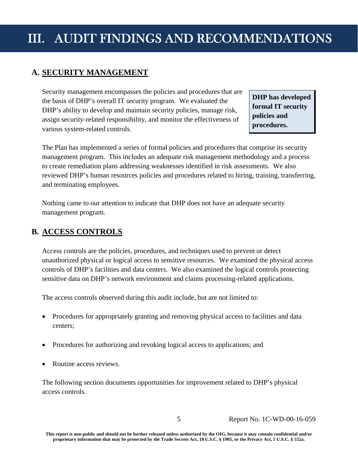## <span id="page-8-0"></span>III. AUDIT FINDINGS AND RECOMMENDATIONS

#### **A. SECURITY MANAGEMENT**

Security management encompasses the policies and procedures that are<br>the basis of DHP's overall IT security program. We evaluated the<br>DHP's ability to develop and maintain security policies, manage risk,<br>assign security-re various system-related controls.

The Plan has implemented a series of formal policies and procedures that comprise its security management program. This includes an adequate risk management methodology and a process to create remediation plans addressing weaknesses identified in risk assessments. We also reviewed DHP's human resources policies and procedures related to hiring, training, transferring, and terminating employees.

Nothing came to our attention to indicate that DHP does not have an adequate security management program.

#### **B. ACCESS CONTROLS**

Access controls are the policies, procedures, and techniques used to prevent or detect unauthorized physical or logical access to sensitive resources. We examined the physical access controls of DHP's facilities and data centers. We also examined the logical controls protecting sensitive data on DHP's network environment and claims processing-related applications.

The access controls observed during this audit include, but are not limited to:

- Procedures for appropriately granting and removing physical access to facilities and data centers;
- Procedures for authorizing and revoking logical access to applications; and
- Routine access reviews.

The following section documents opportunities for improvement related to DHP's physical access controls.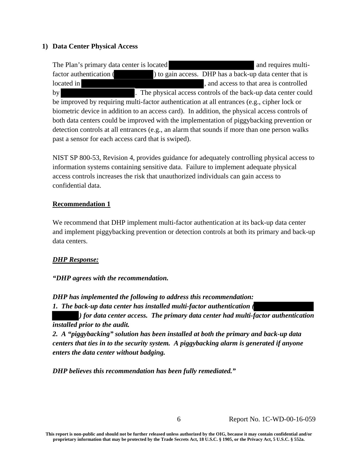#### **1) Data Center Physical Access**

The Plan's primary data center is located and requires multifactor authentication ( ) to gain access. DHP has a back-up data center that is located in  $\Box$  , and access to that area is controlled by . The physical access controls of the back-up data center could be improved by requiring multi-factor authentication at all entrances (e.g., cipher lock or biometric device in addition to an access card). In addition, the physical access controls of both data centers could be improved with the implementation of piggybacking prevention or detection controls at all entrances (e.g., an alarm that sounds if more than one person walks past a sensor for each access card that is swiped).

NIST SP 800-53, Revision 4, provides guidance for adequately controlling physical access to information systems containing sensitive data. Failure to implement adequate physical access controls increases the risk that unauthorized individuals can gain access to confidential data.

#### **Recommendation 1**

We recommend that DHP implement multi-factor authentication at its back-up data center and implement piggybacking prevention or detection controls at both its primary and back-up data centers.

#### *DHP Response:*

#### *"DHP agrees with the recommendation.*

*DHP has implemented the following to address this recommendation:* 

*1. The back-up data center has installed multi-factor authentication (*

*) for data center access. The primary data center had multi-factor authentication installed prior to the audit.* 

*2. A "piggybacking" solution has been installed at both the primary and back-up data centers that ties in to the security system. A piggybacking alarm is generated if anyone enters the data center without badging.* 

*DHP believes this recommendation has been fully remediated."*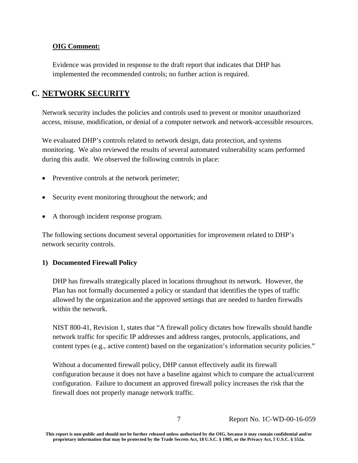#### <span id="page-10-0"></span>**OIG Comment:**

Evidence was provided in response to the draft report that indicates that DHP has implemented the recommended controls; no further action is required.

#### **C. NETWORK SECURITY**

Network security includes the policies and controls used to prevent or monitor unauthorized access, misuse, modification, or denial of a computer network and network-accessible resources.

We evaluated DHP's controls related to network design, data protection, and systems monitoring. We also reviewed the results of several automated vulnerability scans performed during this audit. We observed the following controls in place:

- Preventive controls at the network perimeter;
- Security event monitoring throughout the network; and
- A thorough incident response program.

The following sections document several opportunities for improvement related to DHP's network security controls.

#### **1) Documented Firewall Policy**

DHP has firewalls strategically placed in locations throughout its network. However, the Plan has not formally documented a policy or standard that identifies the types of traffic allowed by the organization and the approved settings that are needed to harden firewalls within the network.

NIST 800-41, Revision 1, states that "A firewall policy dictates how firewalls should handle network traffic for specific IP addresses and address ranges, protocols, applications, and content types (e.g., active content) based on the organization's information security policies."

Without a documented firewall policy, DHP cannot effectively audit its firewall configuration because it does not have a baseline against which to compare the actual/current configuration. Failure to document an approved firewall policy increases the risk that the firewall does not properly manage network traffic.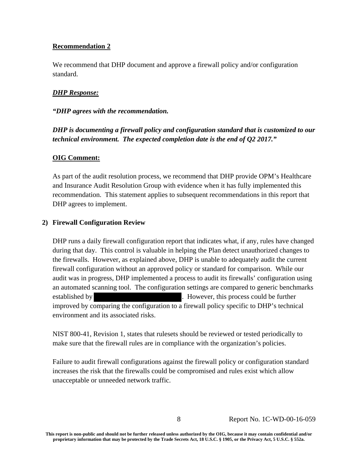#### **Recommendation 2**

We recommend that DHP document and approve a firewall policy and/or configuration standard.

#### *DHP Response:*

#### *"DHP agrees with the recommendation.*

#### *DHP is documenting a firewall policy and configuration standard that is customized to our technical environment. The expected completion date is the end of Q2 2017."*

#### **OIG Comment:**

As part of the audit resolution process, we recommend that DHP provide OPM's Healthcare and Insurance Audit Resolution Group with evidence when it has fully implemented this recommendation. This statement applies to subsequent recommendations in this report that DHP agrees to implement.

#### **2) Firewall Configuration Review**

DHP runs a daily firewall configuration report that indicates what, if any, rules have changed during that day. This control is valuable in helping the Plan detect unauthorized changes to the firewalls. However, as explained above, DHP is unable to adequately audit the current firewall configuration without an approved policy or standard for comparison. While our audit was in progress, DHP implemented a process to audit its firewalls' configuration using an automated scanning tool. The configuration settings are compared to generic benchmarks established by **.** However, this process could be further improved by comparing the configuration to a firewall policy specific to DHP's technical environment and its associated risks.

NIST 800-41, Revision 1, states that rulesets should be reviewed or tested periodically to make sure that the firewall rules are in compliance with the organization's policies.

Failure to audit firewall configurations against the firewall policy or configuration standard increases the risk that the firewalls could be compromised and rules exist which allow unacceptable or unneeded network traffic.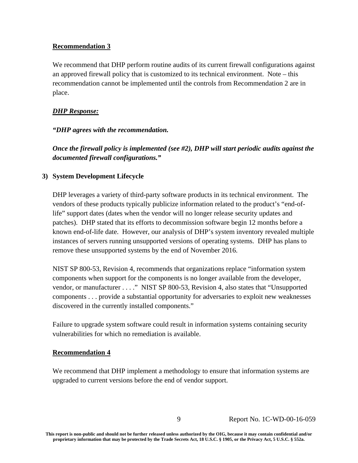#### **Recommendation 3**

We recommend that DHP perform routine audits of its current firewall configurations against an approved firewall policy that is customized to its technical environment. Note – this recommendation cannot be implemented until the controls from Recommendation 2 are in place.

#### *DHP Response:*

#### *"DHP agrees with the recommendation.*

*Once the firewall policy is implemented (see #2), DHP will start periodic audits against the documented firewall configurations."* 

#### **3) System Development Lifecycle**

DHP leverages a variety of third-party software products in its technical environment. The vendors of these products typically publicize information related to the product's "end-oflife" support dates (dates when the vendor will no longer release security updates and patches). DHP stated that its efforts to decommission software begin 12 months before a known end-of-life date. However, our analysis of DHP's system inventory revealed multiple instances of servers running unsupported versions of operating systems. DHP has plans to remove these unsupported systems by the end of November 2016.

NIST SP 800-53, Revision 4, recommends that organizations replace "information system components when support for the components is no longer available from the developer, vendor, or manufacturer . . . ." NIST SP 800-53, Revision 4, also states that "Unsupported components . . . provide a substantial opportunity for adversaries to exploit new weaknesses discovered in the currently installed components."

Failure to upgrade system software could result in information systems containing security vulnerabilities for which no remediation is available.

#### **Recommendation 4**

We recommend that DHP implement a methodology to ensure that information systems are upgraded to current versions before the end of vendor support.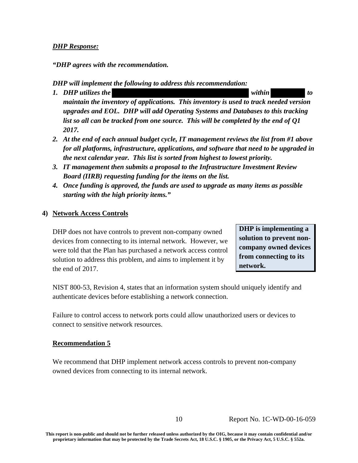#### *DHP Response:*

*"DHP agrees with the recommendation.* 

*DHP will implement the following to address this recommendation:* 

- *1. DHP utilizes the within to be within to be within to be within to be within to be within to be within to be within to be within to be within to be written to be written to be written to be written to be written to maintain the inventory of applications. This inventory is used to track needed version upgrades and EOL. DHP will add Operating Systems and Databases to this tracking list so all can be tracked from one source. This will be completed by the end of Q1 2017.*
- *2. At the end of each annual budget cycle, IT management reviews the list from #1 above for all platforms, infrastructure, applications, and software that need to be upgraded in the next calendar year. This list is sorted from highest to lowest priority.*
- *3. IT management then submits a proposal to the Infrastructure Investment Review Board (IIRB) requesting funding for the items on the list.*
- *4. Once funding is approved, the funds are used to upgrade as many items as possible starting with the high priority items."*

#### **4) Network Access Controls**

DHP does not have controls to prevent non-company owned devices from connecting to its internal network. However, we were told that the Plan has purchased a network access control solution to address this problem, and aims to implement it by the end of 2017.

**DHP is implementing a solution to prevent noncompany owned devices from connecting to its network.** 

NIST 800-53, Revision 4, states that an information system should uniquely identify and authenticate devices before establishing a network connection.

Failure to control access to network ports could allow unauthorized users or devices to connect to sensitive network resources.

#### **Recommendation 5**

We recommend that DHP implement network access controls to prevent non-company owned devices from connecting to its internal network.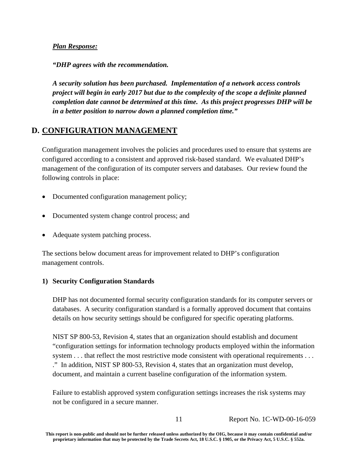#### <span id="page-14-0"></span>*Plan Response:*

*"DHP agrees with the recommendation.* 

*A security solution has been purchased. Implementation of a network access controls project will begin in early 2017 but due to the complexity of the scope a definite planned completion date cannot be determined at this time. As this project progresses DHP will be in a better position to narrow down a planned completion time."* 

#### **D. CONFIGURATION MANAGEMENT**

Configuration management involves the policies and procedures used to ensure that systems are configured according to a consistent and approved risk-based standard. We evaluated DHP's management of the configuration of its computer servers and databases. Our review found the following controls in place:

- Documented configuration management policy;
- Documented system change control process; and
- Adequate system patching process.

The sections below document areas for improvement related to DHP's configuration management controls.

#### **1) Security Configuration Standards**

DHP has not documented formal security configuration standards for its computer servers or databases. A security configuration standard is a formally approved document that contains details on how security settings should be configured for specific operating platforms.

NIST SP 800-53, Revision 4, states that an organization should establish and document "configuration settings for information technology products employed within the information system . . . that reflect the most restrictive mode consistent with operational requirements . . . ." In addition, NIST SP 800-53, Revision 4, states that an organization must develop, document, and maintain a current baseline configuration of the information system.

Failure to establish approved system configuration settings increases the risk systems may not be configured in a secure manner.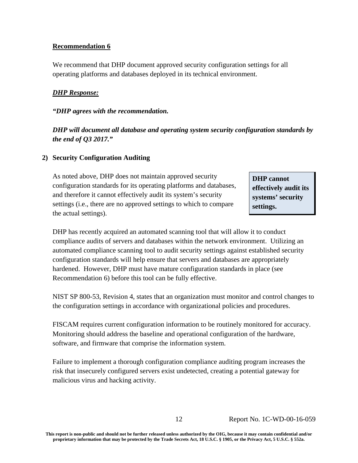#### **Recommendation 6**

We recommend that DHP document approved security configuration settings for all operating platforms and databases deployed in its technical environment.

#### *DHP Response:*

#### *"DHP agrees with the recommendation.*

*DHP will document all database and operating system security configuration standards by the end of Q3 2017."* 

#### **2) Security Configuration Auditing**

As noted above, DHP does not maintain approved security **DHP cannot** configuration standards for its operating platforms and databases, **effectively audit its** and therefore it cannot effectively audit its system's security **systems' security** settings (i.e., there are no approved settings to which to compare  $\left| \right|$  settings. the actual settings).

DHP has recently acquired an automated scanning tool that will allow it to conduct compliance audits of servers and databases within the network environment. Utilizing an automated compliance scanning tool to audit security settings against established security configuration standards will help ensure that servers and databases are appropriately hardened. However, DHP must have mature configuration standards in place (see Recommendation 6) before this tool can be fully effective.

NIST SP 800-53, Revision 4, states that an organization must monitor and control changes to the configuration settings in accordance with organizational policies and procedures.

FISCAM requires current configuration information to be routinely monitored for accuracy. Monitoring should address the baseline and operational configuration of the hardware, software, and firmware that comprise the information system.

Failure to implement a thorough configuration compliance auditing program increases the risk that insecurely configured servers exist undetected, creating a potential gateway for malicious virus and hacking activity.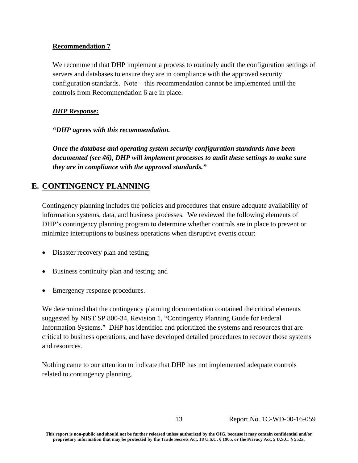#### <span id="page-16-0"></span>**Recommendation 7**

We recommend that DHP implement a process to routinely audit the configuration settings of servers and databases to ensure they are in compliance with the approved security configuration standards. Note – this recommendation cannot be implemented until the controls from Recommendation 6 are in place.

#### *DHP Response:*

*"DHP agrees with this recommendation.* 

*Once the database and operating system security configuration standards have been documented (see #6), DHP will implement processes to audit these settings to make sure they are in compliance with the approved standards."* 

#### **E. CONTINGENCY PLANNING**

Contingency planning includes the policies and procedures that ensure adequate availability of information systems, data, and business processes. We reviewed the following elements of DHP's contingency planning program to determine whether controls are in place to prevent or minimize interruptions to business operations when disruptive events occur:

- Disaster recovery plan and testing;
- Business continuity plan and testing; and
- Emergency response procedures.

We determined that the contingency planning documentation contained the critical elements suggested by NIST SP 800-34, Revision 1, "Contingency Planning Guide for Federal Information Systems." DHP has identified and prioritized the systems and resources that are critical to business operations, and have developed detailed procedures to recover those systems and resources.

Nothing came to our attention to indicate that DHP has not implemented adequate controls related to contingency planning.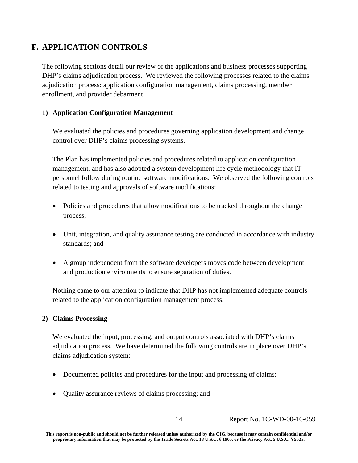#### <span id="page-17-0"></span>**F. APPLICATION CONTROLS**

The following sections detail our review of the applications and business processes supporting DHP's claims adjudication process. We reviewed the following processes related to the claims adjudication process: application configuration management, claims processing, member enrollment, and provider debarment.

#### **1) Application Configuration Management**

We evaluated the policies and procedures governing application development and change control over DHP's claims processing systems.

The Plan has implemented policies and procedures related to application configuration management, and has also adopted a system development life cycle methodology that IT personnel follow during routine software modifications. We observed the following controls related to testing and approvals of software modifications:

- Policies and procedures that allow modifications to be tracked throughout the change process;
- Unit, integration, and quality assurance testing are conducted in accordance with industry standards; and
- A group independent from the software developers moves code between development and production environments to ensure separation of duties.

Nothing came to our attention to indicate that DHP has not implemented adequate controls related to the application configuration management process.

#### **2) Claims Processing**

We evaluated the input, processing, and output controls associated with DHP's claims adjudication process. We have determined the following controls are in place over DHP's claims adjudication system:

- Documented policies and procedures for the input and processing of claims;
- Quality assurance reviews of claims processing; and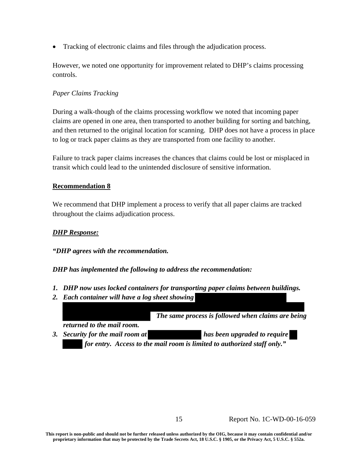Tracking of electronic claims and files through the adjudication process.

However, we noted one opportunity for improvement related to DHP's claims processing controls.

#### *Paper Claims Tracking*

During a walk-though of the claims processing workflow we noted that incoming paper claims are opened in one area, then transported to another building for sorting and batching, and then returned to the original location for scanning. DHP does not have a process in place to log or track paper claims as they are transported from one facility to another.

Failure to track paper claims increases the chances that claims could be lost or misplaced in transit which could lead to the unintended disclosure of sensitive information.

#### **Recommendation 8**

We recommend that DHP implement a process to verify that all paper claims are tracked throughout the claims adjudication process.

#### *DHP Response:*

#### *"DHP agrees with the recommendation.*

#### *DHP has implemented the following to address the recommendation:*

- *1. DHP now uses locked containers for transporting paper claims between buildings.*
- *2. Each container will have a log sheet showing*

 *The same process is followed when claims are being* 

*returned to the mail room.* 

*3.* Security for the mail room at has been upgraded to require  *for entry. Access to the mail room is limited to authorized staff only."*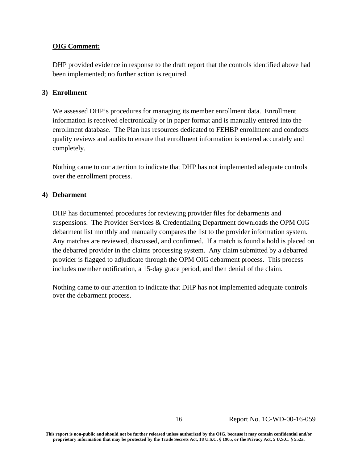#### **OIG Comment:**

DHP provided evidence in response to the draft report that the controls identified above had been implemented; no further action is required.

#### **3) Enrollment**

We assessed DHP's procedures for managing its member enrollment data. Enrollment information is received electronically or in paper format and is manually entered into the enrollment database. The Plan has resources dedicated to FEHBP enrollment and conducts quality reviews and audits to ensure that enrollment information is entered accurately and completely.

Nothing came to our attention to indicate that DHP has not implemented adequate controls over the enrollment process.

#### **4) Debarment**

DHP has documented procedures for reviewing provider files for debarments and suspensions. The Provider Services & Credentialing Department downloads the OPM OIG debarment list monthly and manually compares the list to the provider information system. Any matches are reviewed, discussed, and confirmed. If a match is found a hold is placed on the debarred provider in the claims processing system. Any claim submitted by a debarred provider is flagged to adjudicate through the OPM OIG debarment process. This process includes member notification, a 15-day grace period, and then denial of the claim.

Nothing came to our attention to indicate that DHP has not implemented adequate controls over the debarment process.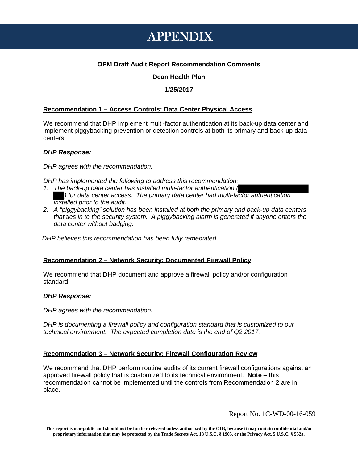### APPENDIX

#### **OPM Draft Audit Report Recommendation Comments**

#### **Dean Health Plan**

#### **1/25/2017**

#### **Recommendation 1 – Access Controls: Data Center Physical Access**

We recommend that DHP implement multi-factor authentication at its back-up data center and implement piggybacking prevention or detection controls at both its primary and back-up data centers.

#### *DHP Response:*

*DHP agrees with the recommendation.* 

*DHP has implemented the following to address this recommendation:* 

- *) for data center access. The primary data center had multi-factor authentication 1. The back-up data center has installed multi-factor authentication ( installed prior to the audit.*
- *2. A "piggybacking" solution has been installed at both the primary and back-up data centers that ties in to the security system. A piggybacking alarm is generated if anyone enters the data center without badging.*

 *DHP believes this recommendation has been fully remediated.* 

#### **Recommendation 2 – Network Security: Documented Firewall Policy**

We recommend that DHP document and approve a firewall policy and/or configuration standard.

#### *DHP Response:*

*DHP agrees with the recommendation.* 

*DHP is documenting a firewall policy and configuration standard that is customized to our technical environment. The expected completion date is the end of Q2 2017.* 

#### **Recommendation 3 – Network Security: Firewall Configuration Review**

 approved firewall policy that is customized to its technical environment. **Note** – this We recommend that DHP perform routine audits of its current firewall configurations against an recommendation cannot be implemented until the controls from Recommendation 2 are in place.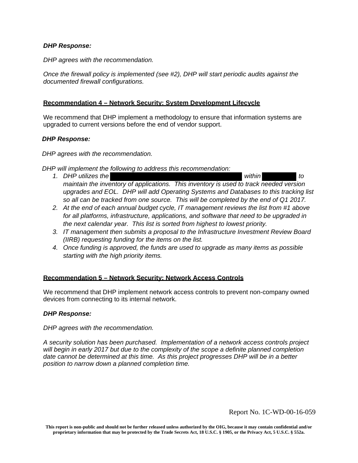#### *DHP Response:*

*DHP agrees with the recommendation.* 

*Once the firewall policy is implemented (see #2), DHP will start periodic audits against the documented firewall configurations.* 

#### **Recommendation 4 – Network Security: System Development Lifecycle**

We recommend that DHP implement a methodology to ensure that information systems are upgraded to current versions before the end of vendor support.

#### *DHP Response:*

*DHP agrees with the recommendation.* 

*DHP will implement the following to address this recommendation:*

- *maintain the inventory of applications. This inventory is used to track needed version 1. DHP utilizes the within to upgrades and EOL. DHP will add Operating Systems and Databases to this tracking list*  so all can be tracked from one source. This will be completed by the end of Q1 2017.
- *2. At the end of each annual budget cycle, IT management reviews the list from #1 above for all platforms, infrastructure, applications, and software that need to be upgraded in the next calendar year. This list is sorted from highest to lowest priority.*
- *3. IT management then submits a proposal to the Infrastructure Investment Review Board (IIRB) requesting funding for the items on the list.*
- *4. Once funding is approved, the funds are used to upgrade as many items as possible starting with the high priority items.*

#### **Recommendation 5 – Network Security: Network Access Controls**

We recommend that DHP implement network access controls to prevent non-company owned devices from connecting to its internal network.

#### *DHP Response:*

*DHP agrees with the recommendation.* 

*A security solution has been purchased. Implementation of a network access controls project will begin in early 2017 but due to the complexity of the scope a definite planned completion date cannot be determined at this time. As this project progresses DHP will be in a better position to narrow down a planned completion time.*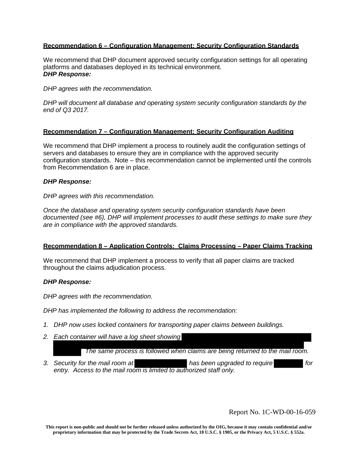#### **Recommendation 6 – Configuration Management: Security Configuration Standards**

We recommend that DHP document approved security configuration settings for all operating platforms and databases deployed in its technical environment. *DHP Response:* 

*DHP agrees with the recommendation.* 

*DHP will document all database and operating system security configuration standards by the end of Q3 2017.* 

#### **Recommendation 7 – Configuration Management: Security Configuration Auditing**

 We recommend that DHP implement a process to routinely audit the configuration settings of  configuration standards. Note – this recommendation cannot be implemented until the controls servers and databases to ensure they are in compliance with the approved security from Recommendation 6 are in place.

#### *DHP Response:*

*DHP agrees with this recommendation.* 

*Once the database and operating system security configuration standards have been documented (see #6), DHP will implement processes to audit these settings to make sure they are in compliance with the approved standards.* 

#### **Recommendation 8 – Application Controls: Claims Processing – Paper Claims Tracking**

We recommend that DHP implement a process to verify that all paper claims are tracked throughout the claims adjudication process.

#### *DHP Response:*

*DHP agrees with the recommendation.* 

*DHP has implemented the following to address the recommendation:*

- *1. DHP now uses locked containers for transporting paper claims between buildings.*
- *2. Each container will have a log sheet showing*

 *The same process is followed when claims are being returned to the mail room.* 

*3. Security for the mail room at has been upgraded to require for entry. Access to the mail room is limited to authorized staff only.*